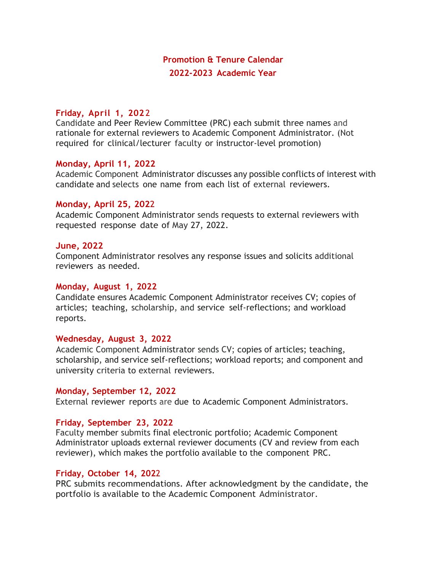# **Promotion & Tenure Calendar 2022-2023 Academic Year**

# **Friday, April 1, 202** 2

Candidate and Peer Review Committee (PRC) each submit three names and rationale for external reviewers to Academic Component Administrator. (Not required for clinical/lecturer faculty or instructor-level promotion)

## **Monday, April 11, 2022**

Academic Component Administrator discusses any possible conflicts of interest with candidate and selects one name from each list of external reviewers.

## **Monday, April 25, 202**2

Academic Component Administrator sends requests to external reviewers with requested response date of May 27, 2022.

## **June, 2022**

Component Administrator resolves any response issues and solicits additional reviewers as needed.

#### **Monday, August 1, 2022**

Candidate ensures Academic Component Administrator receives CV; copies of articles; teaching, scholarship, and service self-reflections; and workload reports.

# **Wednesday, August 3, 2022**

Academic Component Administrator sends CV; copies of articles; teaching, scholarship, and service self-reflections; workload reports; and component and university criteria to external reviewers.

# **Monday, September 12, 2022**

External reviewer reports are due to Academic Component Administrators.

# **Friday, September 23, 2022**

Faculty member submits final electronic portfolio; Academic Component Administrator uploads external reviewer documents (CV and review from each reviewer), which makes the portfolio available to the component PRC.

# **Friday, October 14, 202**2

PRC submits recommendations. After acknowledgment by the candidate, the portfolio is available to the Academic Component Administrator.